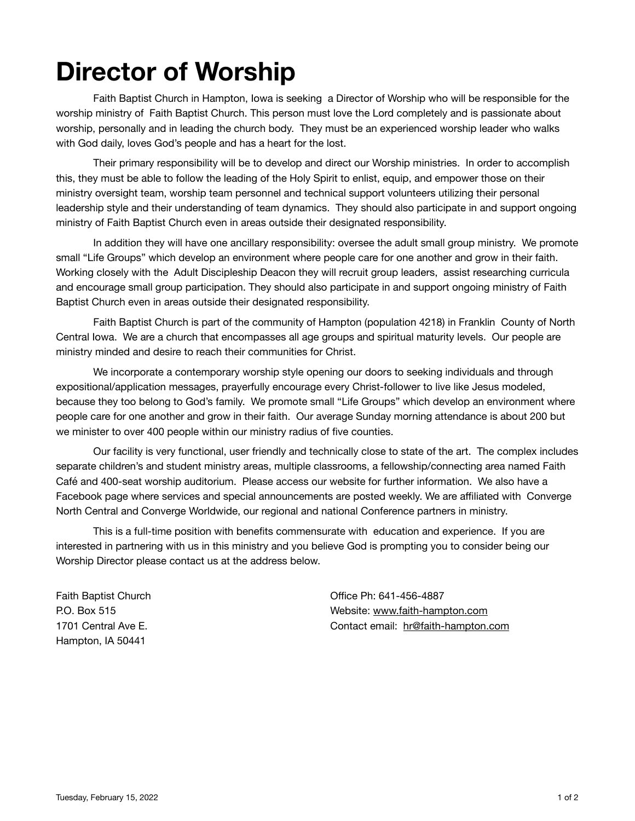# **Director of Worship**

Faith Baptist Church in Hampton, Iowa is seeking a Director of Worship who will be responsible for the worship ministry of Faith Baptist Church. This person must love the Lord completely and is passionate about worship, personally and in leading the church body. They must be an experienced worship leader who walks with God daily, loves God's people and has a heart for the lost.

Their primary responsibility will be to develop and direct our Worship ministries. In order to accomplish this, they must be able to follow the leading of the Holy Spirit to enlist, equip, and empower those on their ministry oversight team, worship team personnel and technical support volunteers utilizing their personal leadership style and their understanding of team dynamics. They should also participate in and support ongoing ministry of Faith Baptist Church even in areas outside their designated responsibility.

In addition they will have one ancillary responsibility: oversee the adult small group ministry. We promote small "Life Groups" which develop an environment where people care for one another and grow in their faith. Working closely with the Adult Discipleship Deacon they will recruit group leaders, assist researching curricula and encourage small group participation. They should also participate in and support ongoing ministry of Faith Baptist Church even in areas outside their designated responsibility.

Faith Baptist Church is part of the community of Hampton (population 4218) in Franklin County of North Central Iowa. We are a church that encompasses all age groups and spiritual maturity levels. Our people are ministry minded and desire to reach their communities for Christ.

We incorporate a contemporary worship style opening our doors to seeking individuals and through expositional/application messages, prayerfully encourage every Christ-follower to live like Jesus modeled, because they too belong to God's family. We promote small "Life Groups" which develop an environment where people care for one another and grow in their faith. Our average Sunday morning attendance is about 200 but we minister to over 400 people within our ministry radius of five counties.

Our facility is very functional, user friendly and technically close to state of the art. The complex includes separate children's and student ministry areas, multiple classrooms, a fellowship/connecting area named Faith Café and 400-seat worship auditorium. Please access our website for further information. We also have a Facebook page where services and special announcements are posted weekly. We are affiliated with Converge North Central and Converge Worldwide, our regional and national Conference partners in ministry.

This is a full-time position with benefits commensurate with education and experience. If you are interested in partnering with us in this ministry and you believe God is prompting you to consider being our Worship Director please contact us at the address below.

Faith Baptist Church P.O. Box 515 1701 Central Ave E. Hampton, IA 50441

Office Ph: 641-456-4887 Website: [www.faith-hampton.com](http://www.faith-hampton.com/) Contact email: [hr@faith-hampton.com](mailto:hr@faith-hampton.com)